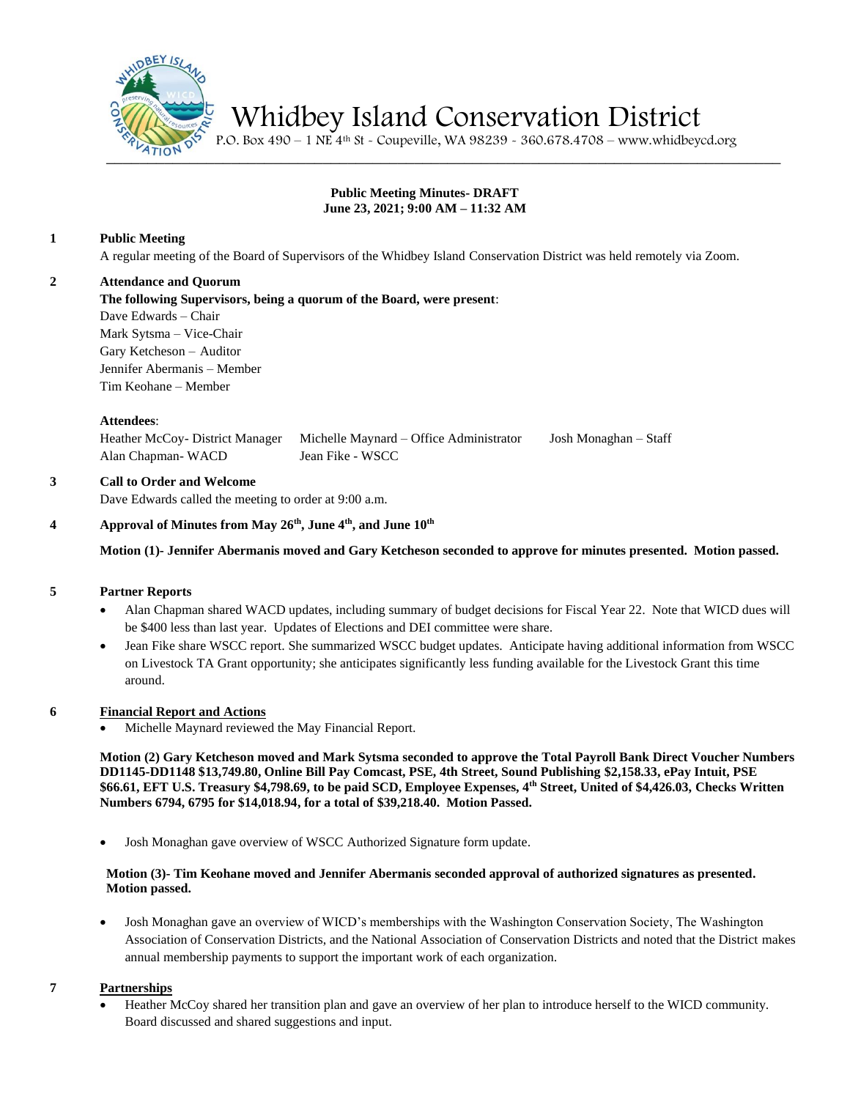

Whidbey Island Conservation District

 $\frac{1}{2410}$   $\frac{1}{25}$  P.O. Box 490 – 1 NE 4<sup>th</sup> St - Coupeville, WA 98239 - 360.678.4708 – www.whidbeycd.org

# **Public Meeting Minutes- DRAFT June 23, 2021; 9:00 AM – 11:32 AM**

# **1 Public Meeting**

A regular meeting of the Board of Supervisors of the Whidbey Island Conservation District was held remotely via Zoom.

## **2 Attendance and Quorum**

**The following Supervisors, being a quorum of the Board, were present**:

Dave Edwards – Chair Mark Sytsma – Vice-Chair Gary Ketcheson – Auditor Jennifer Abermanis – Member Tim Keohane – Member

#### **Attendees**:

Heather McCoy- District Manager Michelle Maynard – Office Administrator Josh Monaghan – Staff Alan Chapman- WACD Jean Fike - WSCC

# **3 Call to Order and Welcome**

Dave Edwards called the meeting to order at 9:00 a.m.

#### **4 Approval of Minutes from May 26th, June 4th, and June 10th**

**Motion (1)- Jennifer Abermanis moved and Gary Ketcheson seconded to approve for minutes presented. Motion passed.**

#### **5 Partner Reports**

- Alan Chapman shared WACD updates, including summary of budget decisions for Fiscal Year 22. Note that WICD dues will be \$400 less than last year. Updates of Elections and DEI committee were share.
- Jean Fike share WSCC report. She summarized WSCC budget updates. Anticipate having additional information from WSCC on Livestock TA Grant opportunity; she anticipates significantly less funding available for the Livestock Grant this time around.

#### **6 Financial Report and Actions**

• Michelle Maynard reviewed the May Financial Report.

**Motion (2) Gary Ketcheson moved and Mark Sytsma seconded to approve the Total Payroll Bank Direct Voucher Numbers DD1145-DD1148 \$13,749.80, Online Bill Pay Comcast, PSE, 4th Street, Sound Publishing \$2,158.33, ePay Intuit, PSE \$66.61, EFT U.S. Treasury \$4,798.69, to be paid SCD, Employee Expenses, 4th Street, United of \$4,426.03, Checks Written Numbers 6794, 6795 for \$14,018.94, for a total of \$39,218.40. Motion Passed.**

• Josh Monaghan gave overview of WSCC Authorized Signature form update.

## **Motion (3)- Tim Keohane moved and Jennifer Abermanis seconded approval of authorized signatures as presented. Motion passed.**

• Josh Monaghan gave an overview of WICD's memberships with the Washington Conservation Society, The Washington Association of Conservation Districts, and the National Association of Conservation Districts and noted that the District makes annual membership payments to support the important work of each organization.

#### **7 Partnerships**

• Heather McCoy shared her transition plan and gave an overview of her plan to introduce herself to the WICD community. Board discussed and shared suggestions and input.